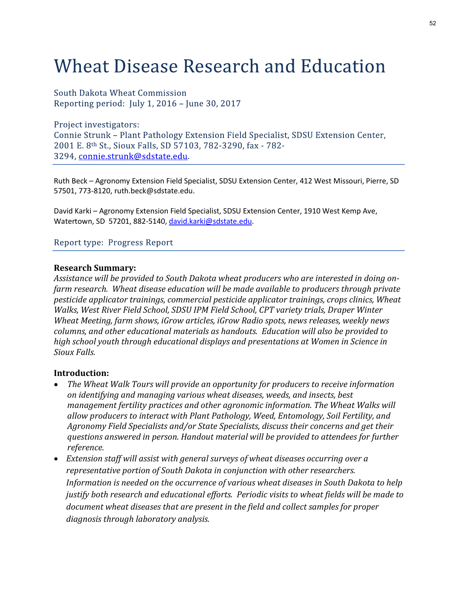# **Wheat Disease Research and Education**

South Dakota Wheat Commission Reporting period: July 1, 2016 - June 30, 2017

Project investigators:

Ruth Beck – Agronomy Extension Field Specialist, SDSU Extension Center, 412 West Missouri, Pierre, SD 57501, 773-8120, ruth.beck@sdstate.edu.

David Karki – Agronomy Extension Field Specialist, SDSU Extension Center, 1910 West Kemp Ave, Watertown, SD 57201, 882-5140, david.karki@sdstate.edu.

#### Research Summary:

Assistance will be provided to South Dakota wheat producers who are interested in doing onfarm research. Wheat disease education will be made available to producers through private pesticide applicator trainings, commercial pesticide applicator trainings, crops clinics, Wheat Walks, West River Field School, SDSU IPM Field School, CPT variety trials, Draper Winter Wheat Meeting, farm shows, iGrow articles, iGrow Radio spots, news releases, weekly news columns of tunner France radionogly Extension Frela specialists, 3030 Extension Center,<br>2001 E. B<sup>us</sup> St., Sioux Falls, SD 57103, 782-3290, fax - 782-<br>3294, <u>connie.strunk@sdstate.edu</u>.<br>Ruth Beck – Agronomy Extension Field 2001 E.c. <sup>as</sup> c.s., stoux rans, so 37103, 702-32590, tax <sup>2</sup>702-2<br>3294, <u>connie.strunk@sdstate.edu</u>.<br>Ruth Beck – Agronomy Extension Field Specialist, SDSU Extension Center, 412 West Missouri, Pierre, SD<br>57501, 773-8120, r Sioux Falls. d Karki – Agronomy Extension Feild Specialist, SDSU Extension Center, 1910 West Kemp Ave,<br>dertiving 5D 57201, 882-5140, <u>david karki@sdstate edu</u>.<br>Nort type: Progress Report<br>and Stance will be provided to South Dakota whea ertown, so 57201, 882-5140, <u>gavia.karki@sostate.edu</u>.<br>
nort type: Progress Report<br>
tearch **Summary:**<br>
tstance will be provided to South Dakota wheat producers who are interested in doing on-<br>
nessench. Wheat disease educa nort type: Progress Report<br>
search Summary:<br>
istance will be provided to South Dakota wheat producers who are interested in doing on-<br>
mesearch. Wheat disease education will be made available to producers through private<br> ort type: Progress Report<br>
stance will be provided to South Dakota wheat producers who are interested in doing on-<br>
research. Wheat disease education will be made available to producers through private<br>
licide applicator t

#### Introduction:

- The Wheat Walk Tours will provide an opportunity for producers to receive information on identifying and managing various wheat diseases, weeds, and insects, best reference. ictude applicator trainings, commercial pesicine applicator training, crops cuities, we are the set River Field School, SDSU PPM Field School, CPT variety trials, proper Winter<br>eat Meeting, farm shows, iGrow articles, iGro
- Extension staff will assist with general surveys of wheat diseases occurring over a representative portion of South Dakota in conjunction with other researchers. Information is needed on the occurrence of various wheat diseases in South Dakota to help document wheat diseases that are present in the field and collect samples for proper diagnosis through laboratory analysis.